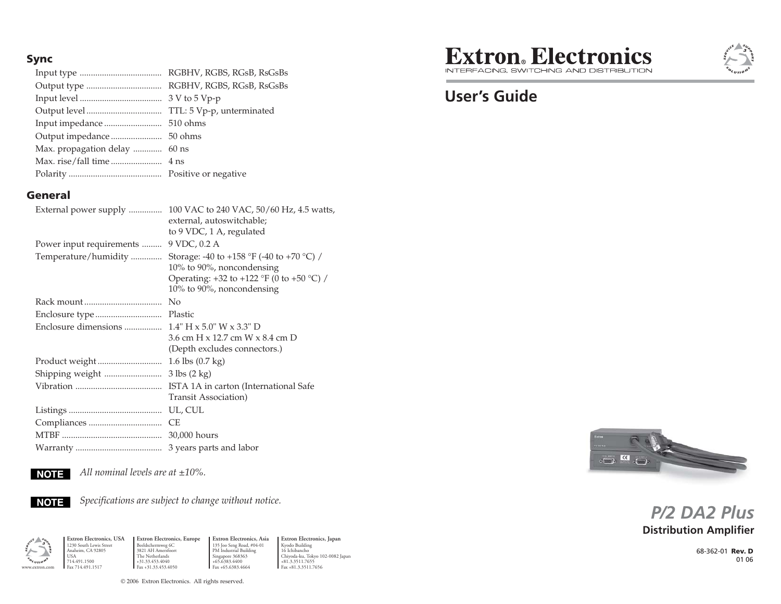#### **Sync**

Input type ..................................... RGBHV, RGBS, RGsB, RsGsBs Output type .................................. RGBHV, RGBS, RGsB, RsGsBs Input level ..................................... 3 V to 5 Vp-p Output level .................................. TTL: 5 Vp-p, unterminated Input impedance .......................... 510 ohms Output impedance ....................... 50 ohms Max. propagation delay ............. 60 ns Max. rise/fall time ....................... 4 ns Polarity .......................................... Positive or negative

#### **General**

| External power supply    | 100 VAC to 240 VAC, 50/60 Hz, 4.5 watts,<br>external, autoswitchable;<br>to 9 VDC, 1 A, regulated                                                |
|--------------------------|--------------------------------------------------------------------------------------------------------------------------------------------------|
| Power input requirements | 9 VDC, 0.2 A                                                                                                                                     |
| Temperature/humidity     | Storage: -40 to +158 °F (-40 to +70 °C) /<br>10% to 90%, noncondensing<br>Operating: +32 to +122 °F (0 to +50 °C) /<br>10% to 90%, noncondensing |
|                          | No                                                                                                                                               |
|                          | Plastic                                                                                                                                          |
|                          |                                                                                                                                                  |
|                          | 3.6 cm H x 12.7 cm W x 8.4 cm D<br>(Depth excludes connectors.)                                                                                  |
|                          | 1.6 lbs (0.7 kg)                                                                                                                                 |
|                          | $3$ lbs $(2$ kg $)$                                                                                                                              |
|                          | ISTA 1A in carton (International Safe<br>Transit Association)                                                                                    |
|                          | UL, CUL                                                                                                                                          |
|                          | СE                                                                                                                                               |
|                          | 30,000 hours                                                                                                                                     |
|                          | 3 years parts and labor                                                                                                                          |



*All nominal levels are at ±10%.*



Anaheim, CA 92805 USA 714.491.1500 Fax 714.491.1517

*Specifications are subject to change without notice.*



**Extron Electronics, USA** 1230 South Lewis Street **Extron Electronics, Europe** Beeldschermweg 6C 3821 AH Amersfoort The Netherlands +31.33.453.4040 **Fax** +31.33.453.4050 **Fax** +65.6383.4664 **Fax** +81.3.3511.7656

**Extron Electronics, Asia** 135 Joo Seng Road, #04-01 PM Industrial Building Singapore 368363 +65.6383.4400 Fax +65.6383.4664 **Extron Electronics, Japan**

Kyodo Building 16 Ichibancho Chiyoda-ku, Tokyo 102-0082 Japan  $+81.3.3511.7655$ <br>Fax  $+81.3.3511.7656$ 



INTEREACING SWITCHING AND DISTRIBLITION

# **User's Guide**



# **Distribution Amplifier** *P/2 DA2 Plus*

68-362-01 **Rev. D**01 06

© 2006 Extron Electronics. All rights reserved.